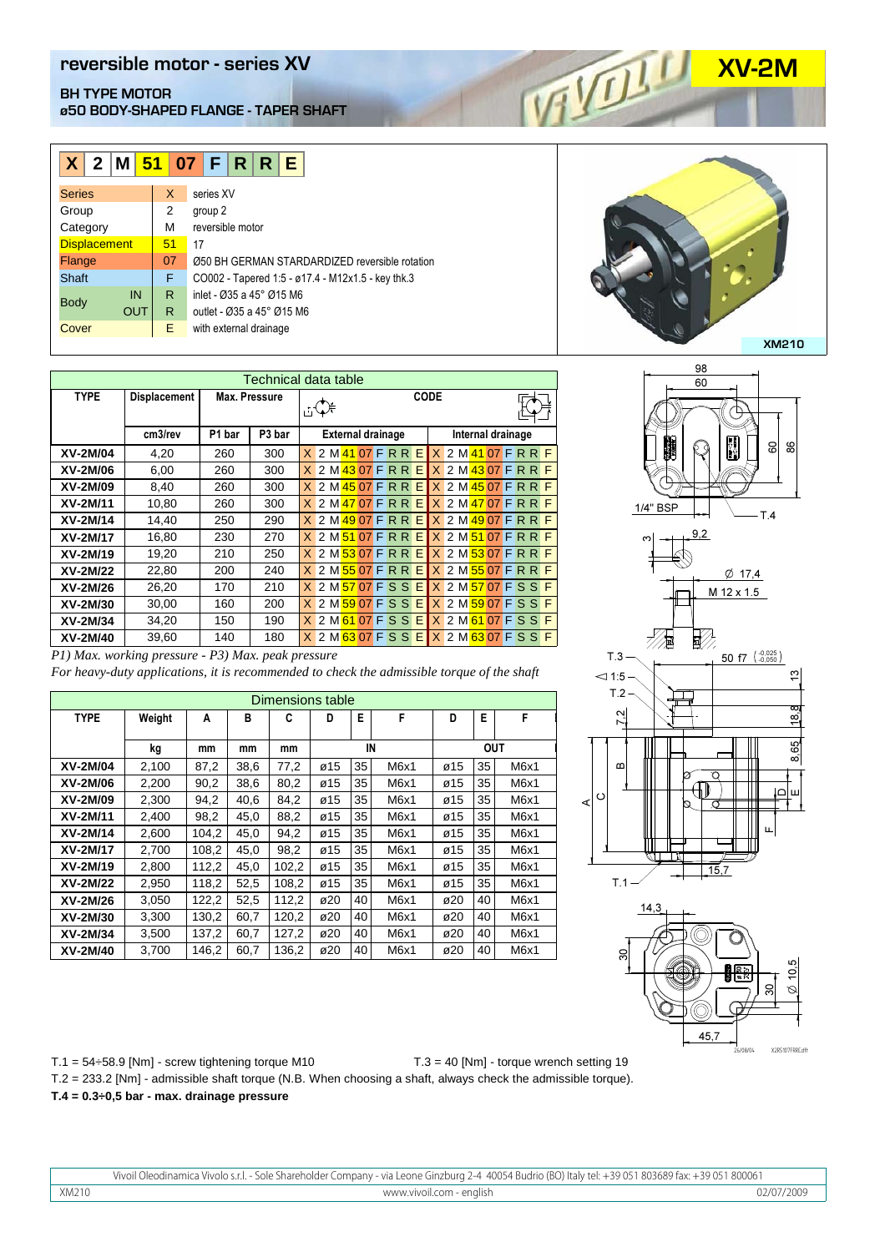## **REVERSIBLE MOTOR BUTYPE MOTOR**<br>@50 BODY-SHAPED FLANGE - TAPER SHAFT **BH TYPE MOTOR ø50 BODY-SHAPED FLANGE - TAPER SHAFT**

| $X$ 2 M 51 07 F R R E     |    |           |                                                   |  |
|---------------------------|----|-----------|---------------------------------------------------|--|
| <b>Series</b>             | X  | series XV |                                                   |  |
| Group                     | 2  | group 2   |                                                   |  |
| Category                  | М  |           | reversible motor                                  |  |
| <b>Displacement</b>       | 51 | 17        |                                                   |  |
| Flange                    | 07 |           | 050 BH GERMAN STARDARDIZED reversible rotation    |  |
| <b>Shaft</b>              | F  |           | CO002 - Tapered 1:5 - ø17.4 - M12x1.5 - key thk.3 |  |
| IN                        | R  |           | inlet - Ø35 a 45° Ø15 M6                          |  |
| <b>Body</b><br><b>OUT</b> | R. |           | outlet - Ø35 a 45° Ø15 M6                         |  |
| Cover                     | Е  |           | with external drainage                            |  |

| Technical data table |                     |        |                    |                |                                                    |                         |   |  |  |  |  |
|----------------------|---------------------|--------|--------------------|----------------|----------------------------------------------------|-------------------------|---|--|--|--|--|
| <b>TYPE</b>          | <b>Displacement</b> |        | Max. Pressure      | $E^*$          | CODE                                               |                         |   |  |  |  |  |
|                      | cm3/rev             | P1 bar | P <sub>3</sub> bar |                | <b>External drainage</b>                           | Internal drainage       |   |  |  |  |  |
| XV-2M/04             | 4,20                | 260    | 300                |                | <u>X 2 M 41 07 F R R E X 2 M 41 07 F R R F</u>     |                         |   |  |  |  |  |
| XV-2M/06             | 6,00                | 260    | 300                |                | X 2 M 43 07 F R R E X 2 M 43 07 F R R F            |                         |   |  |  |  |  |
| XV-2M/09             | 8,40                | 260    | 300                |                | X 2 M 45 07 F R R E                                | $X$ 2 M 45 07 F R R     | F |  |  |  |  |
| XV-2M/11             | 10,80               | 260    | 300                |                | <u>X 2 M 47 07 F R R E X 2 M 47 07 F R R F</u>     |                         |   |  |  |  |  |
| XV-2M/14             | 14,40               | 250    | 290                |                | <u>X 2 M 49 07 F R R E X 2 M 49 07 F R R</u>       |                         | F |  |  |  |  |
| XV-2M/17             | 16,80               | 230    | 270                |                | <u>X 2 M 51 07 F R R E X 2 M 51 07 F R R F</u>     |                         |   |  |  |  |  |
| XV-2M/19             | 19,20               | 210    | 250                |                | X 2 M 53 07 F R R E                                | $X$ 2 M $53$ 07 F R R F |   |  |  |  |  |
| XV-2M/22             | 22,80               | 200    | 240                |                | <u>X 2 M 55 07 F R R E X 2 M 55 07 F R R F</u>     |                         |   |  |  |  |  |
| XV-2M/26             | 26,20               | 170    | 210                | $\mathsf{X}^-$ | 2 M <mark>57 07 F S S E X 2 M 57 07 F S S F</mark> |                         |   |  |  |  |  |
| XV-2M/30             | 30,00               | 160    | 200                |                | <u>X</u> 2 M 59 07 F S S E X 2 M 59 07 F S S F     |                         |   |  |  |  |  |
| XV-2M/34             | 34,20               | 150    | 190                |                | <u>X 2 M 61 07 F S S E X 2 M 61 07 F S S F</u>     |                         |   |  |  |  |  |
| XV-2M/40             | 39,60               | 140    | 180                |                | <u>X 2 M 63 07 F S S E X 2 M 63 07 F S S F</u>     |                         |   |  |  |  |  |

| 80-20034                                                                                                                                         | 34.ZU | 10U | 19U |  |  |  |  |  |  |  | <u>IA Z MIOI UZ FI S S E TA Z MIOI UZ FI S SI</u> |  |  |  |
|--------------------------------------------------------------------------------------------------------------------------------------------------|-------|-----|-----|--|--|--|--|--|--|--|---------------------------------------------------|--|--|--|
| XV-2M/40                                                                                                                                         | 39.60 | 140 | 180 |  |  |  |  |  |  |  | $X$ 2 M 63 07 F S S E $X$ 2 M 63 07 F S S         |  |  |  |
| P1) Max. working pressure - P3) Max. peak pressure<br>For heavy-duty applications, it is recommended to check the admissible torque of the shaft |       |     |     |  |  |  |  |  |  |  |                                                   |  |  |  |
|                                                                                                                                                  |       |     |     |  |  |  |  |  |  |  |                                                   |  |  |  |

| Dimensions table |        |       |      |       |             |    |      |            |    |      |
|------------------|--------|-------|------|-------|-------------|----|------|------------|----|------|
| <b>TYPE</b>      | Weight | A     | в    | C     | F<br>E<br>D |    |      | D          | E  | F    |
|                  | kg     | mm    | mm   | mm    | IN          |    |      | <b>OUT</b> |    |      |
| XV-2M/04         | 2,100  | 87,2  | 38,6 | 77,2  | ø15         | 35 | M6x1 | ø15        | 35 | M6x1 |
| XV-2M/06         | 2.200  | 90,2  | 38,6 | 80,2  | ø15         | 35 | M6x1 | ø15        | 35 | M6x1 |
| XV-2M/09         | 2,300  | 94,2  | 40,6 | 84,2  | ø15         | 35 | M6x1 | ø15        | 35 | M6x1 |
| XV-2M/11         | 2,400  | 98,2  | 45,0 | 88,2  | ø15         | 35 | M6x1 | ø15        | 35 | M6x1 |
| XV-2M/14         | 2,600  | 104.2 | 45,0 | 94,2  | ø15         | 35 | M6x1 | ø15        | 35 | M6x1 |
| XV-2M/17         | 2,700  | 108,2 | 45,0 | 98,2  | ø15         | 35 | M6x1 | ø15        | 35 | M6x1 |
| XV-2M/19         | 2,800  | 112,2 | 45,0 | 102,2 | ø15         | 35 | M6x1 | ø15        | 35 | M6x1 |
| XV-2M/22         | 2,950  | 118,2 | 52,5 | 108,2 | ø15         | 35 | M6x1 | ø15        | 35 | M6x1 |
| XV-2M/26         | 3,050  | 122,2 | 52,5 | 112,2 | ø20         | 40 | M6x1 | ø20        | 40 | M6x1 |
| XV-2M/30         | 3,300  | 130,2 | 60,7 | 120,2 | ø20         | 40 | M6x1 | ø20        | 40 | M6x1 |
| XV-2M/34         | 3,500  | 137,2 | 60,7 | 127,2 | ø20         | 40 | M6x1 | ø20        | 40 | M6x1 |
| XV-2M/40         | 3,700  | 146,2 | 60,7 | 136,2 | ø20         | 40 | M6x1 | ø20        | 40 | M6x1 |







 $T.1 = 54 \div 58.9$  [Nm] - screw tightening torque M10 T.2 = 233.2 [Nm] - admissible shaft torque (N.B. When choosing a shaft, always check the admissible torque). **T.4 = 0.3÷0,5 bar - max. drainage pressure** T.3 = 40 [Nm] - torque wrench setting 19

Vivoil Oleodinamica Vivolo s.r.l. - Sole Shareholder Company - via Leone Ginzburg 2-4 40054 Budrio (BO) Italy tel: +39 051 803689 fax: +39 051 800061 XM210 www.vivoil.com - english 02/07/2009